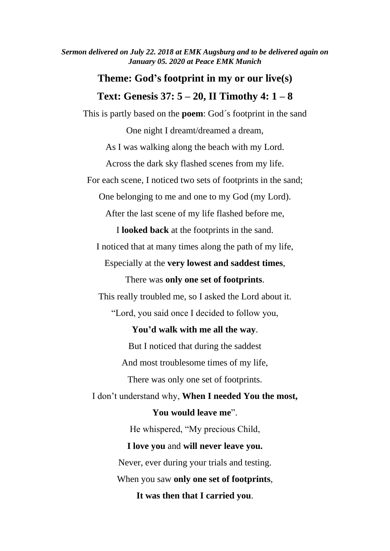*Sermon delivered on July 22. 2018 at EMK Augsburg and to be delivered again on January 05. 2020 at Peace EMK Munich*

## **Theme: God's footprint in my or our live(s)**

## **Text: Genesis 37: 5 – 20, II Timothy 4: 1 – 8**

This is partly based on the **poem**: God´s footprint in the sand One night I dreamt/dreamed a dream, As I was walking along the beach with my Lord. Across the dark sky flashed scenes from my life. For each scene, I noticed two sets of footprints in the sand; One belonging to me and one to my God (my Lord). After the last scene of my life flashed before me, I **looked back** at the footprints in the sand. I noticed that at many times along the path of my life, Especially at the **very lowest and saddest times**, There was **only one set of footprints**. This really troubled me, so I asked the Lord about it. "Lord, you said once I decided to follow you, **You'd walk with me all the way**. But I noticed that during the saddest And most troublesome times of my life, There was only one set of footprints. I don't understand why, **When I needed You the most, You would leave me**". He whispered, "My precious Child, **I love you** and **will never leave you.** Never, ever during your trials and testing. When you saw **only one set of footprints**,

**It was then that I carried you**.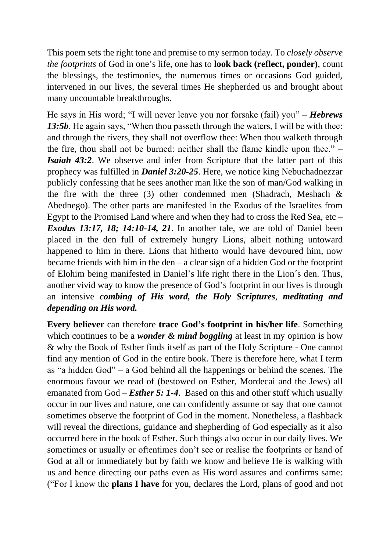This poem sets the right tone and premise to my sermon today. To *closely observe the footprints* of God in one's life, one has to **look back (reflect, ponder)**, count the blessings, the testimonies, the numerous times or occasions God guided, intervened in our lives, the several times He shepherded us and brought about many uncountable breakthroughs.

He says in His word; "I will never leave you nor forsake (fail) you" – *Hebrews*  13:5b. He again says, "When thou passeth through the waters, I will be with thee: and through the rivers, they shall not overflow thee: When thou walketh through the fire, thou shall not be burned: neither shall the flame kindle upon thee." – *Isaiah 43:2*. We observe and infer from Scripture that the latter part of this prophecy was fulfilled in *Daniel 3:20-25*. Here, we notice king Nebuchadnezzar publicly confessing that he sees another man like the son of man/God walking in the fire with the three (3) other condemned men (Shadrach, Meshach  $\&$ Abednego). The other parts are manifested in the Exodus of the Israelites from Egypt to the Promised Land where and when they had to cross the Red Sea, etc – *Exodus 13:17, 18; 14:10-14, 21*. In another tale, we are told of Daniel been placed in the den full of extremely hungry Lions, albeit nothing untoward happened to him in there. Lions that hitherto would have devoured him, now became friends with him in the den – a clear sign of a hidden God or the footprint of Elohim being manifested in Daniel's life right there in the Lion´s den. Thus, another vivid way to know the presence of God's footprint in our lives is through an intensive *combing of His word, the Holy Scriptures*, *meditating and depending on His word.*

**Every believer** can therefore **trace God's footprint in his/her life**. Something which continues to be a *wonder & mind boggling* at least in my opinion is how & why the Book of Esther finds itself as part of the Holy Scripture - One cannot find any mention of God in the entire book. There is therefore here, what I term as "a hidden God" – a God behind all the happenings or behind the scenes. The enormous favour we read of (bestowed on Esther, Mordecai and the Jews) all emanated from God – *Esther 5: 1-4*. Based on this and other stuff which usually occur in our lives and nature, one can confidently assume or say that one cannot sometimes observe the footprint of God in the moment. Nonetheless, a flashback will reveal the directions, guidance and shepherding of God especially as it also occurred here in the book of Esther. Such things also occur in our daily lives. We sometimes or usually or oftentimes don't see or realise the footprints or hand of God at all or immediately but by faith we know and believe He is walking with us and hence directing our paths even as His word assures and confirms same: ("For I know the **plans I have** for you, declares the Lord, plans of good and not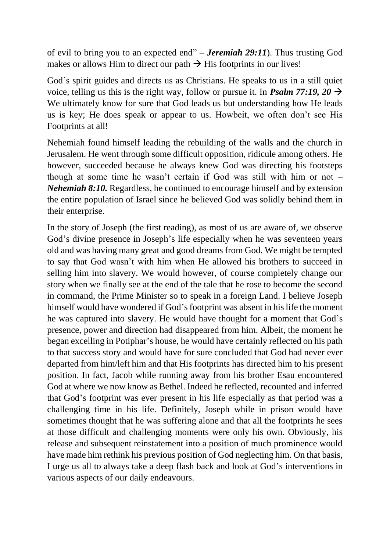of evil to bring you to an expected end" – *Jeremiah 29:11*). Thus trusting God makes or allows Him to direct our path  $\rightarrow$  His footprints in our lives!

God's spirit guides and directs us as Christians. He speaks to us in a still quiet voice, telling us this is the right way, follow or pursue it. In *Psalm 77:19, 20*  $\rightarrow$ We ultimately know for sure that God leads us but understanding how He leads us is key; He does speak or appear to us. Howbeit, we often don't see His Footprints at all!

Nehemiah found himself leading the rebuilding of the walls and the church in Jerusalem. He went through some difficult opposition, ridicule among others. He however, succeeded because he always knew God was directing his footsteps though at some time he wasn't certain if God was still with him or not – *Nehemiah 8:10.* Regardless, he continued to encourage himself and by extension the entire population of Israel since he believed God was solidly behind them in their enterprise.

In the story of Joseph (the first reading), as most of us are aware of, we observe God's divine presence in Joseph's life especially when he was seventeen years old and was having many great and good dreams from God. We might be tempted to say that God wasn't with him when He allowed his brothers to succeed in selling him into slavery. We would however, of course completely change our story when we finally see at the end of the tale that he rose to become the second in command, the Prime Minister so to speak in a foreign Land. I believe Joseph himself would have wondered if God's footprint was absent in his life the moment he was captured into slavery. He would have thought for a moment that God's presence, power and direction had disappeared from him. Albeit, the moment he began excelling in Potiphar's house, he would have certainly reflected on his path to that success story and would have for sure concluded that God had never ever departed from him/left him and that His footprints has directed him to his present position. In fact, Jacob while running away from his brother Esau encountered God at where we now know as Bethel. Indeed he reflected, recounted and inferred that God's footprint was ever present in his life especially as that period was a challenging time in his life. Definitely, Joseph while in prison would have sometimes thought that he was suffering alone and that all the footprints he sees at those difficult and challenging moments were only his own. Obviously, his release and subsequent reinstatement into a position of much prominence would have made him rethink his previous position of God neglecting him. On that basis, I urge us all to always take a deep flash back and look at God's interventions in various aspects of our daily endeavours.